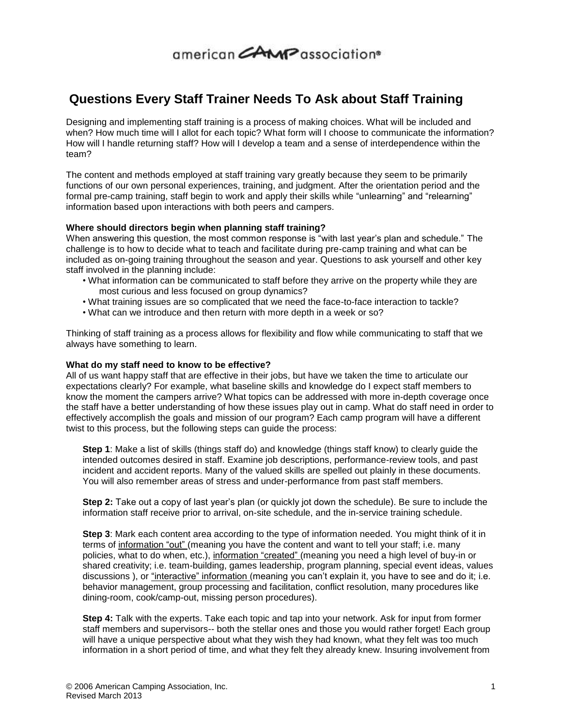## $\alpha$ merican $\alpha$ AMP association<sup>®</sup>

### **Questions Every Staff Trainer Needs To Ask about Staff Training**

Designing and implementing staff training is a process of making choices. What will be included and when? How much time will I allot for each topic? What form will I choose to communicate the information? How will I handle returning staff? How will I develop a team and a sense of interdependence within the team?

The content and methods employed at staff training vary greatly because they seem to be primarily functions of our own personal experiences, training, and judgment. After the orientation period and the formal pre-camp training, staff begin to work and apply their skills while "unlearning" and "relearning" information based upon interactions with both peers and campers.

### **Where should directors begin when planning staff training?**

When answering this question, the most common response is "with last year's plan and schedule." The challenge is to how to decide what to teach and facilitate during pre-camp training and what can be included as on-going training throughout the season and year. Questions to ask yourself and other key staff involved in the planning include:

- What information can be communicated to staff before they arrive on the property while they are most curious and less focused on group dynamics?
- What training issues are so complicated that we need the face-to-face interaction to tackle?
- What can we introduce and then return with more depth in a week or so?

Thinking of staff training as a process allows for flexibility and flow while communicating to staff that we always have something to learn.

### **What do my staff need to know to be effective?**

All of us want happy staff that are effective in their jobs, but have we taken the time to articulate our expectations clearly? For example, what baseline skills and knowledge do I expect staff members to know the moment the campers arrive? What topics can be addressed with more in-depth coverage once the staff have a better understanding of how these issues play out in camp. What do staff need in order to effectively accomplish the goals and mission of our program? Each camp program will have a different twist to this process, but the following steps can guide the process:

**Step 1**: Make a list of skills (things staff do) and knowledge (things staff know) to clearly guide the intended outcomes desired in staff. Examine job descriptions, performance-review tools, and past incident and accident reports. Many of the valued skills are spelled out plainly in these documents. You will also remember areas of stress and under-performance from past staff members.

**Step 2:** Take out a copy of last year's plan (or quickly jot down the schedule). Be sure to include the information staff receive prior to arrival, on-site schedule, and the in-service training schedule.

**Step 3**: Mark each content area according to the type of information needed. You might think of it in terms of information "out" (meaning you have the content and want to tell your staff; i.e. many policies, what to do when, etc.), information "created" (meaning you need a high level of buy-in or shared creativity; i.e. team-building, games leadership, program planning, special event ideas, values discussions ), or "interactive" information (meaning you can't explain it, you have to see and do it; i.e. behavior management, group processing and facilitation, conflict resolution, many procedures like dining-room, cook/camp-out, missing person procedures).

**Step 4:** Talk with the experts. Take each topic and tap into your network. Ask for input from former staff members and supervisors-- both the stellar ones and those you would rather forget! Each group will have a unique perspective about what they wish they had known, what they felt was too much information in a short period of time, and what they felt they already knew. Insuring involvement from